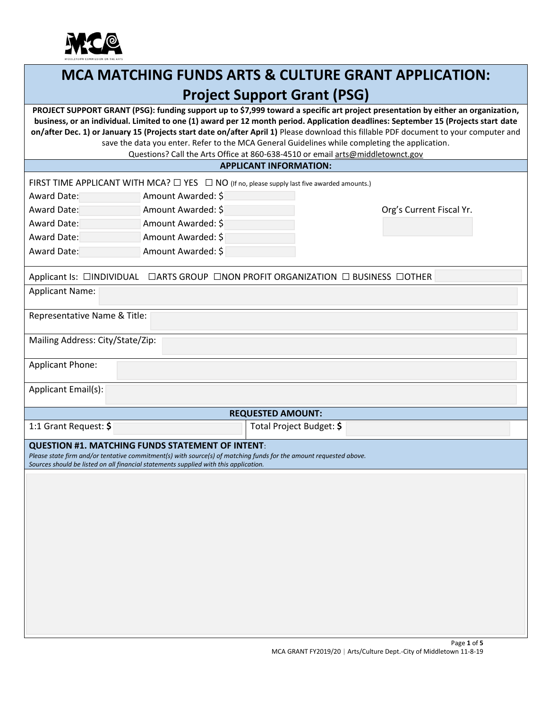

# **MCA MATCHING FUNDS ARTS & CULTURE GRANT APPLICATION: Project Support Grant (PSG)**

**PROJECT SUPPORT GRANT (PSG): funding support up to \$7,999 toward a specific art project presentation by either an organization, business, or an individual. Limited to one (1) award per 12 month period. Application deadlines: September 15 (Projects start date on/after Dec. 1) or January 15 (Projects start date on/after April 1)** Please download this fillable PDF document to your computer and save the data you enter. Refer to the MCA General Guidelines while completing the application.

Questions? Call the Arts Office at 860-638-4510 or emai[l arts@middletownct.gov](mailto:arts@middletownct.gov)

## **APPLICANT INFORMATION:**

|                                                                                                                                                                                                                                                                      |                    | FIRST TIME APPLICANT WITH MCA? $\square$ YES $\square$ NO (If no, please supply last five awarded amounts.) |                          |  |
|----------------------------------------------------------------------------------------------------------------------------------------------------------------------------------------------------------------------------------------------------------------------|--------------------|-------------------------------------------------------------------------------------------------------------|--------------------------|--|
| Award Date:                                                                                                                                                                                                                                                          | Amount Awarded: \$ |                                                                                                             |                          |  |
| Award Date:                                                                                                                                                                                                                                                          | Amount Awarded: \$ |                                                                                                             | Org's Current Fiscal Yr. |  |
| Award Date:                                                                                                                                                                                                                                                          | Amount Awarded: \$ |                                                                                                             |                          |  |
| <b>Award Date:</b>                                                                                                                                                                                                                                                   | Amount Awarded: \$ |                                                                                                             |                          |  |
| Award Date:                                                                                                                                                                                                                                                          | Amount Awarded: \$ |                                                                                                             |                          |  |
|                                                                                                                                                                                                                                                                      |                    | Applicant Is: □INDIVIDUAL □ARTS GROUP □NON PROFIT ORGANIZATION □ BUSINESS □OTHER                            |                          |  |
| <b>Applicant Name:</b>                                                                                                                                                                                                                                               |                    |                                                                                                             |                          |  |
| Representative Name & Title:                                                                                                                                                                                                                                         |                    |                                                                                                             |                          |  |
| Mailing Address: City/State/Zip:                                                                                                                                                                                                                                     |                    |                                                                                                             |                          |  |
| <b>Applicant Phone:</b>                                                                                                                                                                                                                                              |                    |                                                                                                             |                          |  |
| Applicant Email(s):                                                                                                                                                                                                                                                  |                    |                                                                                                             |                          |  |
|                                                                                                                                                                                                                                                                      |                    | <b>REQUESTED AMOUNT:</b>                                                                                    |                          |  |
| 1:1 Grant Request: \$                                                                                                                                                                                                                                                |                    | Total Project Budget: \$                                                                                    |                          |  |
| <b>QUESTION #1. MATCHING FUNDS STATEMENT OF INTENT:</b><br>Please state firm and/or tentative commitment(s) with source(s) of matching funds for the amount requested above.<br>Sources should be listed on all financial statements supplied with this application. |                    |                                                                                                             |                          |  |
|                                                                                                                                                                                                                                                                      |                    |                                                                                                             |                          |  |
|                                                                                                                                                                                                                                                                      |                    |                                                                                                             |                          |  |
|                                                                                                                                                                                                                                                                      |                    |                                                                                                             |                          |  |
|                                                                                                                                                                                                                                                                      |                    |                                                                                                             |                          |  |
|                                                                                                                                                                                                                                                                      |                    |                                                                                                             |                          |  |
|                                                                                                                                                                                                                                                                      |                    |                                                                                                             |                          |  |
|                                                                                                                                                                                                                                                                      |                    |                                                                                                             |                          |  |
|                                                                                                                                                                                                                                                                      |                    |                                                                                                             |                          |  |
|                                                                                                                                                                                                                                                                      |                    |                                                                                                             |                          |  |
|                                                                                                                                                                                                                                                                      |                    |                                                                                                             |                          |  |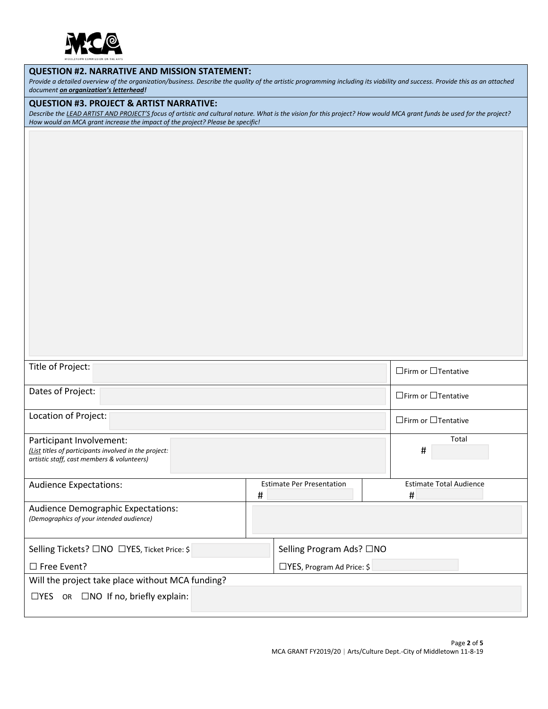

#### **QUESTION #2. NARRATIVE AND MISSION STATEMENT:**

*Provide a detailed overview of the organization/business. Describe the quality of the artistic programming including its viability and success. Provide this as an attached document on organization's letterhead!*

#### **QUESTION #3. PROJECT & ARTIST NARRATIVE:**

*Describe the LEAD ARTIST AND PROJECT'S focus of artistic and cultural nature. What is the vision for this project? How would MCA grant funds be used for the project? How would an MCA grant increase the impact of the project? Please be specific!*

| Title of Project:                                                                                                               |   |                                  |                                 | $\Box$ Firm or $\Box$ Tentative     |
|---------------------------------------------------------------------------------------------------------------------------------|---|----------------------------------|---------------------------------|-------------------------------------|
| Dates of Project:                                                                                                               |   |                                  | $\Box$ Firm or $\Box$ Tentative |                                     |
| Location of Project:                                                                                                            |   |                                  | $\Box$ Firm or $\Box$ Tentative |                                     |
| Participant Involvement:<br>(List titles of participants involved in the project:<br>artistic staff, cast members & volunteers) |   |                                  |                                 | Total<br>#                          |
| <b>Audience Expectations:</b>                                                                                                   | # | <b>Estimate Per Presentation</b> |                                 | <b>Estimate Total Audience</b><br># |
| <b>Audience Demographic Expectations:</b><br>(Demographics of your intended audience)                                           |   |                                  |                                 |                                     |
| Selling Tickets? □NO □YES, Ticket Price: \$                                                                                     |   | Selling Program Ads? □NO         |                                 |                                     |
| $\Box$ Free Event?                                                                                                              |   | $\Box$ YES, Program Ad Price: \$ |                                 |                                     |
| Will the project take place without MCA funding?                                                                                |   |                                  |                                 |                                     |
| $\Box$ YES OR $\Box$ NO If no, briefly explain:                                                                                 |   |                                  |                                 |                                     |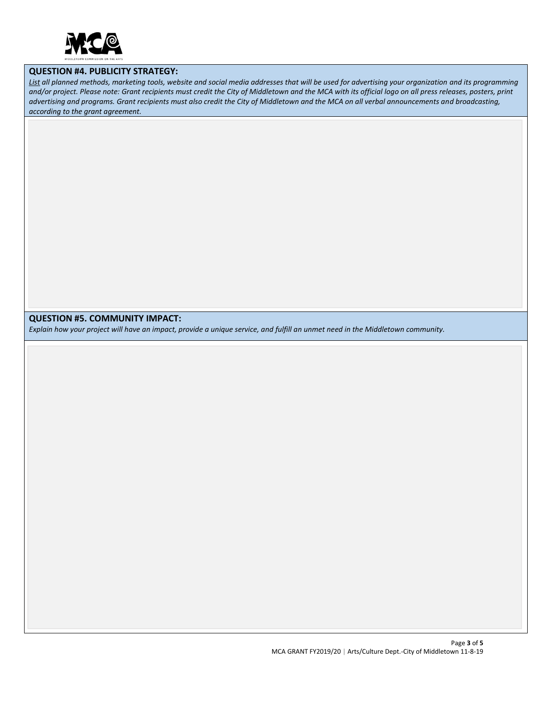

#### **QUESTION #4. PUBLICITY STRATEGY:**

*List all planned methods, marketing tools, website and social media addresses that will be used for advertising your organization and its programming and/or project. Please note: Grant recipients must credit the City of Middletown and the MCA with its official logo on all press releases, posters, print advertising and programs. Grant recipients must also credit the City of Middletown and the MCA on all verbal announcements and broadcasting, according to the grant agreement.*

#### **QUESTION #5. COMMUNITY IMPACT:**

*Explain how your project will have an impact, provide a unique service, and fulfill an unmet need in the Middletown community.*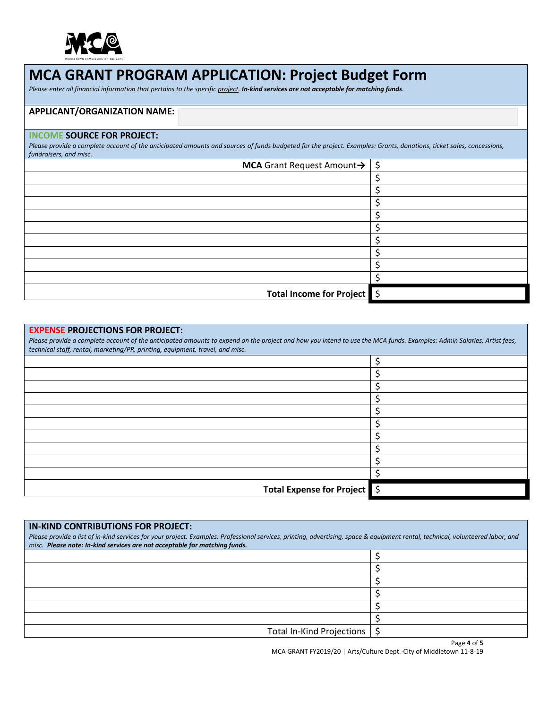

# **MCA GRANT PROGRAM APPLICATION: Project Budget Form**

*Please enter all financial information that pertains to the specific project. In-kind services are not acceptable for matching funds.*

# **APPLICANT/ORGANIZATION NAME:**

## **INCOME SOURCE FOR PROJECT:**

Please provide a complete account of the anticipated amounts and sources of funds budgeted for the project. Examples: Grants, donations, ticket sales, concessions, *fundraisers, and misc.*

| <b>MCA</b> Grant Request Amount $\rightarrow$ $\mid$ \$ |  |
|---------------------------------------------------------|--|
|                                                         |  |
|                                                         |  |
|                                                         |  |
|                                                         |  |
|                                                         |  |
|                                                         |  |
|                                                         |  |
|                                                         |  |
|                                                         |  |
| Total Income for Project \$                             |  |

# **EXPENSE PROJECTIONS FOR PROJECT:**

**IN-KIND CONTRIBUTIONS FOR PROJECT:**

*Please provide a complete account of the anticipated amounts to expend on the project and how you intend to use the MCA funds. Examples: Admin Salaries, Artist fees, technical staff, rental, marketing/PR, printing, equipment, travel, and misc.*

| $\mathbf{r}$ , and the set of the set of $\mathbf{r}$ , and $\mathbf{r}$ , and $\mathbf{r}$ , and $\mathbf{r}$ , and $\mathbf{r}$ |  |
|-----------------------------------------------------------------------------------------------------------------------------------|--|
|                                                                                                                                   |  |
|                                                                                                                                   |  |
|                                                                                                                                   |  |
|                                                                                                                                   |  |
|                                                                                                                                   |  |
|                                                                                                                                   |  |
|                                                                                                                                   |  |
|                                                                                                                                   |  |
|                                                                                                                                   |  |
|                                                                                                                                   |  |
| Total Expense for Project 5                                                                                                       |  |
|                                                                                                                                   |  |

| <u> IN-KIND CONTRIBUTIONS FOR PROJECT:</u><br>Please provide a list of in-kind services for your project. Examples: Professional services, printing, advertising, space & equipment rental, technical, volunteered labor, and<br>misc. Please note: In-kind services are not acceptable for matching funds. |  |
|-------------------------------------------------------------------------------------------------------------------------------------------------------------------------------------------------------------------------------------------------------------------------------------------------------------|--|
|                                                                                                                                                                                                                                                                                                             |  |
|                                                                                                                                                                                                                                                                                                             |  |
|                                                                                                                                                                                                                                                                                                             |  |
|                                                                                                                                                                                                                                                                                                             |  |
|                                                                                                                                                                                                                                                                                                             |  |
|                                                                                                                                                                                                                                                                                                             |  |
| Total In-Kind Projections                                                                                                                                                                                                                                                                                   |  |

MCA GRANT FY2019/20 | Arts/Culture Dept.-City of Middletown 11-8-19

Page **4** of **5**